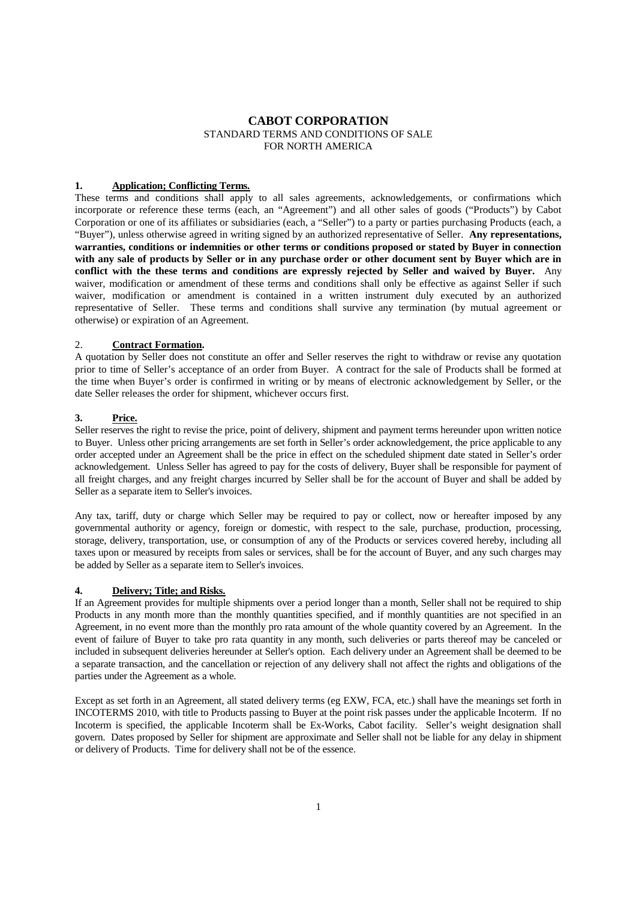# **CABOT CORPORATION** STANDARD TERMS AND CONDITIONS OF SALE FOR NORTH AMERICA

#### **1. Application; Conflicting Terms.**

These terms and conditions shall apply to all sales agreements, acknowledgements, or confirmations which incorporate or reference these terms (each, an "Agreement") and all other sales of goods ("Products") by Cabot Corporation or one of its affiliates or subsidiaries (each, a "Seller") to a party or parties purchasing Products (each, a "Buyer"), unless otherwise agreed in writing signed by an authorized representative of Seller. **Any representations, warranties, conditions or indemnities or other terms or conditions proposed or stated by Buyer in connection with any sale of products by Seller or in any purchase order or other document sent by Buyer which are in conflict with the these terms and conditions are expressly rejected by Seller and waived by Buyer.** Any waiver, modification or amendment of these terms and conditions shall only be effective as against Seller if such waiver, modification or amendment is contained in a written instrument duly executed by an authorized representative of Seller. These terms and conditions shall survive any termination (by mutual agreement or otherwise) or expiration of an Agreement.

#### 2. **Contract Formation.**

A quotation by Seller does not constitute an offer and Seller reserves the right to withdraw or revise any quotation prior to time of Seller's acceptance of an order from Buyer. A contract for the sale of Products shall be formed at the time when Buyer's order is confirmed in writing or by means of electronic acknowledgement by Seller, or the date Seller releases the order for shipment, whichever occurs first.

## **3. Price.**

Seller reserves the right to revise the price, point of delivery, shipment and payment terms hereunder upon written notice to Buyer. Unless other pricing arrangements are set forth in Seller's order acknowledgement, the price applicable to any order accepted under an Agreement shall be the price in effect on the scheduled shipment date stated in Seller's order acknowledgement. Unless Seller has agreed to pay for the costs of delivery, Buyer shall be responsible for payment of all freight charges, and any freight charges incurred by Seller shall be for the account of Buyer and shall be added by Seller as a separate item to Seller's invoices.

Any tax, tariff, duty or charge which Seller may be required to pay or collect, now or hereafter imposed by any governmental authority or agency, foreign or domestic, with respect to the sale, purchase, production, processing, storage, delivery, transportation, use, or consumption of any of the Products or services covered hereby, including all taxes upon or measured by receipts from sales or services, shall be for the account of Buyer, and any such charges may be added by Seller as a separate item to Seller's invoices.

# **4. Delivery; Title; and Risks.**

If an Agreement provides for multiple shipments over a period longer than a month, Seller shall not be required to ship Products in any month more than the monthly quantities specified, and if monthly quantities are not specified in an Agreement, in no event more than the monthly pro rata amount of the whole quantity covered by an Agreement. In the event of failure of Buyer to take pro rata quantity in any month, such deliveries or parts thereof may be canceled or included in subsequent deliveries hereunder at Seller's option. Each delivery under an Agreement shall be deemed to be a separate transaction, and the cancellation or rejection of any delivery shall not affect the rights and obligations of the parties under the Agreement as a whole.

Except as set forth in an Agreement, all stated delivery terms (eg EXW, FCA, etc.) shall have the meanings set forth in INCOTERMS 2010, with title to Products passing to Buyer at the point risk passes under the applicable Incoterm. If no Incoterm is specified, the applicable Incoterm shall be Ex-Works, Cabot facility. Seller's weight designation shall govern. Dates proposed by Seller for shipment are approximate and Seller shall not be liable for any delay in shipment or delivery of Products. Time for delivery shall not be of the essence.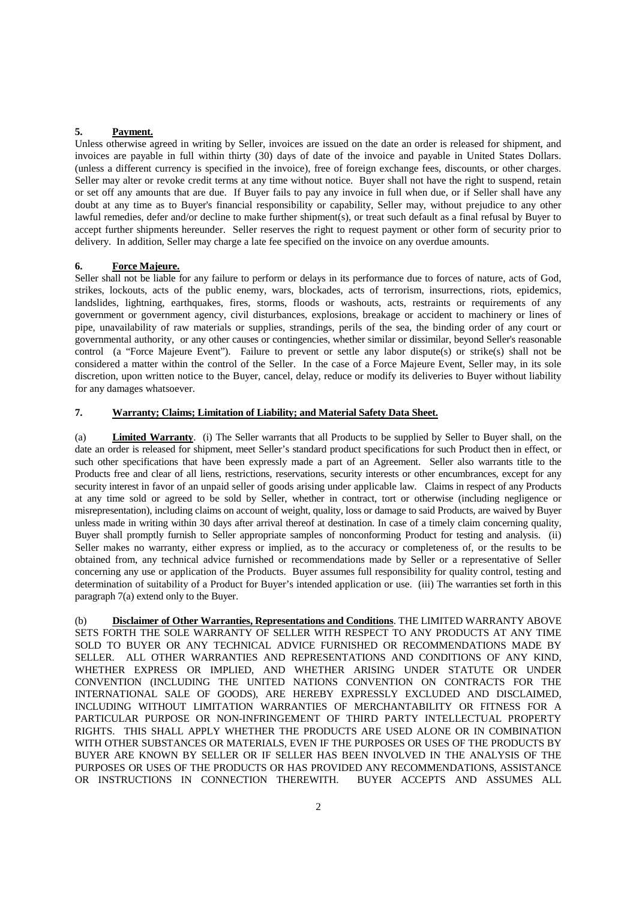## **5. Payment.**

Unless otherwise agreed in writing by Seller, invoices are issued on the date an order is released for shipment, and invoices are payable in full within thirty (30) days of date of the invoice and payable in United States Dollars. (unless a different currency is specified in the invoice), free of foreign exchange fees, discounts, or other charges. Seller may alter or revoke credit terms at any time without notice. Buyer shall not have the right to suspend, retain or set off any amounts that are due. If Buyer fails to pay any invoice in full when due, or if Seller shall have any doubt at any time as to Buyer's financial responsibility or capability, Seller may, without prejudice to any other lawful remedies, defer and/or decline to make further shipment(s), or treat such default as a final refusal by Buyer to accept further shipments hereunder. Seller reserves the right to request payment or other form of security prior to delivery. In addition, Seller may charge a late fee specified on the invoice on any overdue amounts.

## **6. Force Majeure.**

Seller shall not be liable for any failure to perform or delays in its performance due to forces of nature, acts of God, strikes, lockouts, acts of the public enemy, wars, blockades, acts of terrorism, insurrections, riots, epidemics, landslides, lightning, earthquakes, fires, storms, floods or washouts, acts, restraints or requirements of any government or government agency, civil disturbances, explosions, breakage or accident to machinery or lines of pipe, unavailability of raw materials or supplies, strandings, perils of the sea, the binding order of any court or governmental authority, or any other causes or contingencies, whether similar or dissimilar, beyond Seller's reasonable control (a "Force Majeure Event"). Failure to prevent or settle any labor dispute(s) or strike(s) shall not be considered a matter within the control of the Seller. In the case of a Force Majeure Event, Seller may, in its sole discretion, upon written notice to the Buyer, cancel, delay, reduce or modify its deliveries to Buyer without liability for any damages whatsoever.

#### **7. Warranty; Claims; Limitation of Liability; and Material Safety Data Sheet.**

(a) **Limited Warranty**. (i) The Seller warrants that all Products to be supplied by Seller to Buyer shall, on the date an order is released for shipment, meet Seller's standard product specifications for such Product then in effect, or such other specifications that have been expressly made a part of an Agreement. Seller also warrants title to the Products free and clear of all liens, restrictions, reservations, security interests or other encumbrances, except for any security interest in favor of an unpaid seller of goods arising under applicable law. Claims in respect of any Products at any time sold or agreed to be sold by Seller, whether in contract, tort or otherwise (including negligence or misrepresentation), including claims on account of weight, quality, loss or damage to said Products, are waived by Buyer unless made in writing within 30 days after arrival thereof at destination. In case of a timely claim concerning quality, Buyer shall promptly furnish to Seller appropriate samples of nonconforming Product for testing and analysis. (ii) Seller makes no warranty, either express or implied, as to the accuracy or completeness of, or the results to be obtained from, any technical advice furnished or recommendations made by Seller or a representative of Seller concerning any use or application of the Products. Buyer assumes full responsibility for quality control, testing and determination of suitability of a Product for Buyer's intended application or use. (iii) The warranties set forth in this paragraph 7(a) extend only to the Buyer.

(b) **Disclaimer of Other Warranties, Representations and Conditions**. THE LIMITED WARRANTY ABOVE SETS FORTH THE SOLE WARRANTY OF SELLER WITH RESPECT TO ANY PRODUCTS AT ANY TIME SOLD TO BUYER OR ANY TECHNICAL ADVICE FURNISHED OR RECOMMENDATIONS MADE BY SELLER. ALL OTHER WARRANTIES AND REPRESENTATIONS AND CONDITIONS OF ANY KIND, WHETHER EXPRESS OR IMPLIED, AND WHETHER ARISING UNDER STATUTE OR UNDER CONVENTION (INCLUDING THE UNITED NATIONS CONVENTION ON CONTRACTS FOR THE INTERNATIONAL SALE OF GOODS), ARE HEREBY EXPRESSLY EXCLUDED AND DISCLAIMED, INCLUDING WITHOUT LIMITATION WARRANTIES OF MERCHANTABILITY OR FITNESS FOR A PARTICULAR PURPOSE OR NON-INFRINGEMENT OF THIRD PARTY INTELLECTUAL PROPERTY RIGHTS. THIS SHALL APPLY WHETHER THE PRODUCTS ARE USED ALONE OR IN COMBINATION WITH OTHER SUBSTANCES OR MATERIALS, EVEN IF THE PURPOSES OR USES OF THE PRODUCTS BY BUYER ARE KNOWN BY SELLER OR IF SELLER HAS BEEN INVOLVED IN THE ANALYSIS OF THE PURPOSES OR USES OF THE PRODUCTS OR HAS PROVIDED ANY RECOMMENDATIONS, ASSISTANCE OR INSTRUCTIONS IN CONNECTION THEREWITH. BUYER ACCEPTS AND ASSUMES ALL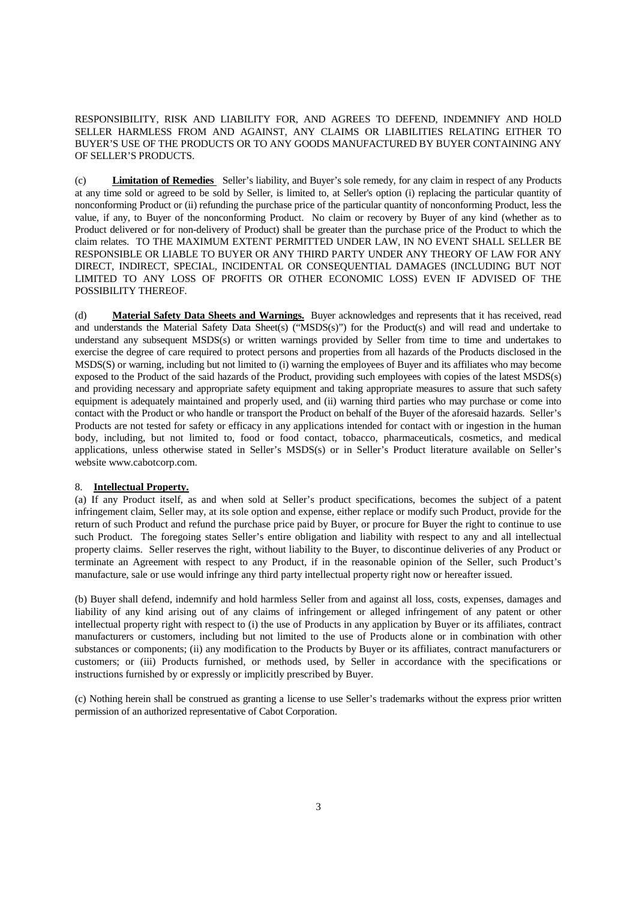RESPONSIBILITY, RISK AND LIABILITY FOR, AND AGREES TO DEFEND, INDEMNIFY AND HOLD SELLER HARMLESS FROM AND AGAINST, ANY CLAIMS OR LIABILITIES RELATING EITHER TO BUYER'S USE OF THE PRODUCTS OR TO ANY GOODS MANUFACTURED BY BUYER CONTAINING ANY OF SELLER'S PRODUCTS.

(c) **Limitation of Remedies** Seller's liability, and Buyer's sole remedy, for any claim in respect of any Products at any time sold or agreed to be sold by Seller, is limited to, at Seller's option (i) replacing the particular quantity of nonconforming Product or (ii) refunding the purchase price of the particular quantity of nonconforming Product, less the value, if any, to Buyer of the nonconforming Product. No claim or recovery by Buyer of any kind (whether as to Product delivered or for non-delivery of Product) shall be greater than the purchase price of the Product to which the claim relates. TO THE MAXIMUM EXTENT PERMITTED UNDER LAW, IN NO EVENT SHALL SELLER BE RESPONSIBLE OR LIABLE TO BUYER OR ANY THIRD PARTY UNDER ANY THEORY OF LAW FOR ANY DIRECT, INDIRECT, SPECIAL, INCIDENTAL OR CONSEQUENTIAL DAMAGES (INCLUDING BUT NOT LIMITED TO ANY LOSS OF PROFITS OR OTHER ECONOMIC LOSS) EVEN IF ADVISED OF THE POSSIBILITY THEREOF.

(d) **Material Safety Data Sheets and Warnings.** Buyer acknowledges and represents that it has received, read and understands the Material Safety Data Sheet(s) ("MSDS(s)") for the Product(s) and will read and undertake to understand any subsequent MSDS(s) or written warnings provided by Seller from time to time and undertakes to exercise the degree of care required to protect persons and properties from all hazards of the Products disclosed in the MSDS(S) or warning, including but not limited to (i) warning the employees of Buyer and its affiliates who may become exposed to the Product of the said hazards of the Product, providing such employees with copies of the latest MSDS(s) and providing necessary and appropriate safety equipment and taking appropriate measures to assure that such safety equipment is adequately maintained and properly used, and (ii) warning third parties who may purchase or come into contact with the Product or who handle or transport the Product on behalf of the Buyer of the aforesaid hazards. Seller's Products are not tested for safety or efficacy in any applications intended for contact with or ingestion in the human body, including, but not limited to, food or food contact, tobacco, pharmaceuticals, cosmetics, and medical applications, unless otherwise stated in Seller's MSDS(s) or in Seller's Product literature available on Seller's website www.cabotcorp.com.

#### 8. **Intellectual Property.**

(a) If any Product itself, as and when sold at Seller's product specifications, becomes the subject of a patent infringement claim, Seller may, at its sole option and expense, either replace or modify such Product, provide for the return of such Product and refund the purchase price paid by Buyer, or procure for Buyer the right to continue to use such Product. The foregoing states Seller's entire obligation and liability with respect to any and all intellectual property claims. Seller reserves the right, without liability to the Buyer, to discontinue deliveries of any Product or terminate an Agreement with respect to any Product, if in the reasonable opinion of the Seller, such Product's manufacture, sale or use would infringe any third party intellectual property right now or hereafter issued.

(b) Buyer shall defend, indemnify and hold harmless Seller from and against all loss, costs, expenses, damages and liability of any kind arising out of any claims of infringement or alleged infringement of any patent or other intellectual property right with respect to (i) the use of Products in any application by Buyer or its affiliates, contract manufacturers or customers, including but not limited to the use of Products alone or in combination with other substances or components; (ii) any modification to the Products by Buyer or its affiliates, contract manufacturers or customers; or (iii) Products furnished, or methods used, by Seller in accordance with the specifications or instructions furnished by or expressly or implicitly prescribed by Buyer.

(c) Nothing herein shall be construed as granting a license to use Seller's trademarks without the express prior written permission of an authorized representative of Cabot Corporation.